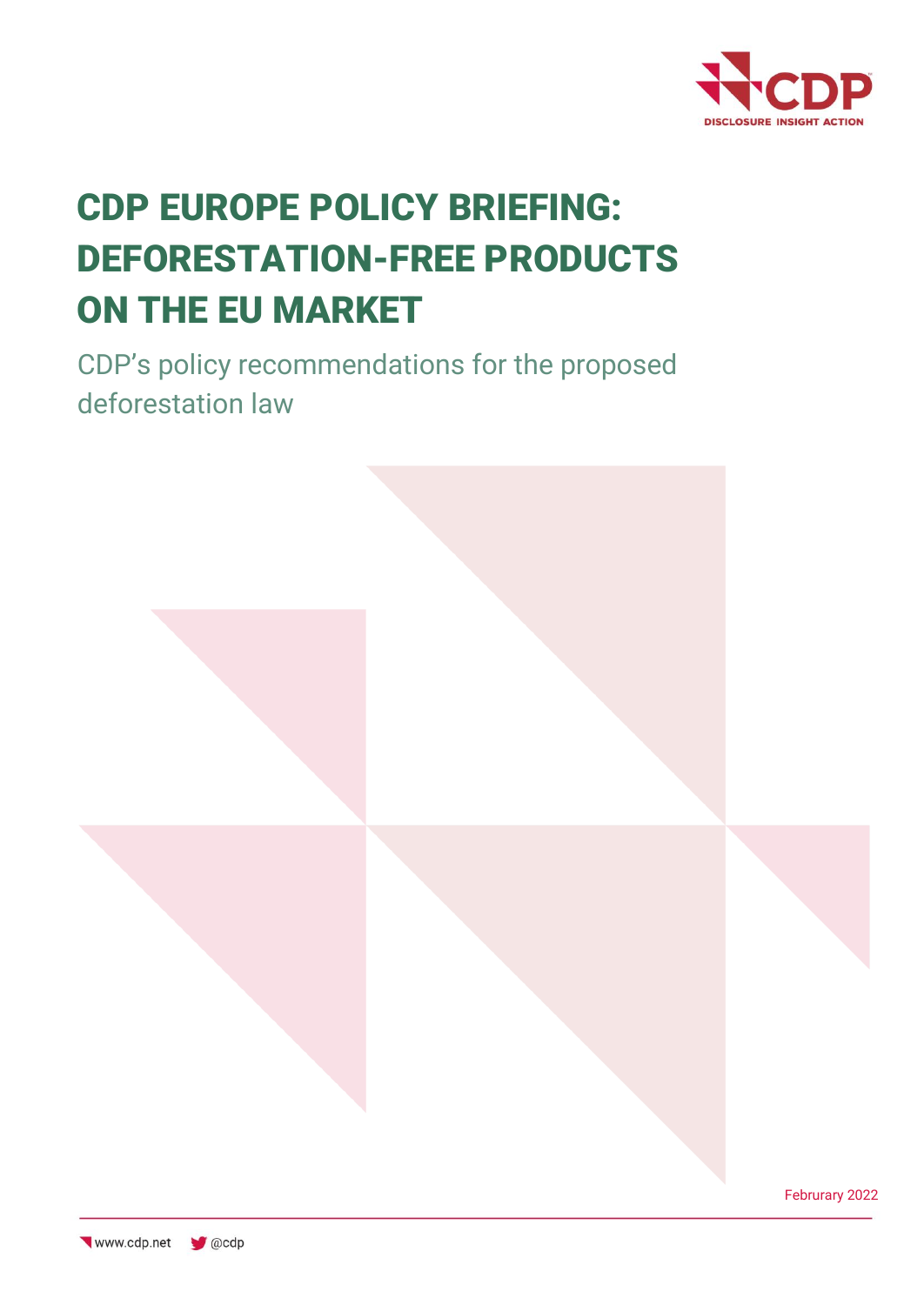

# CDP EUROPE POLICY BRIEFING: DEFORESTATION-FREE PRODUCTS ON THE EU MARKET

CDP's policy recommendations for the proposed deforestation law

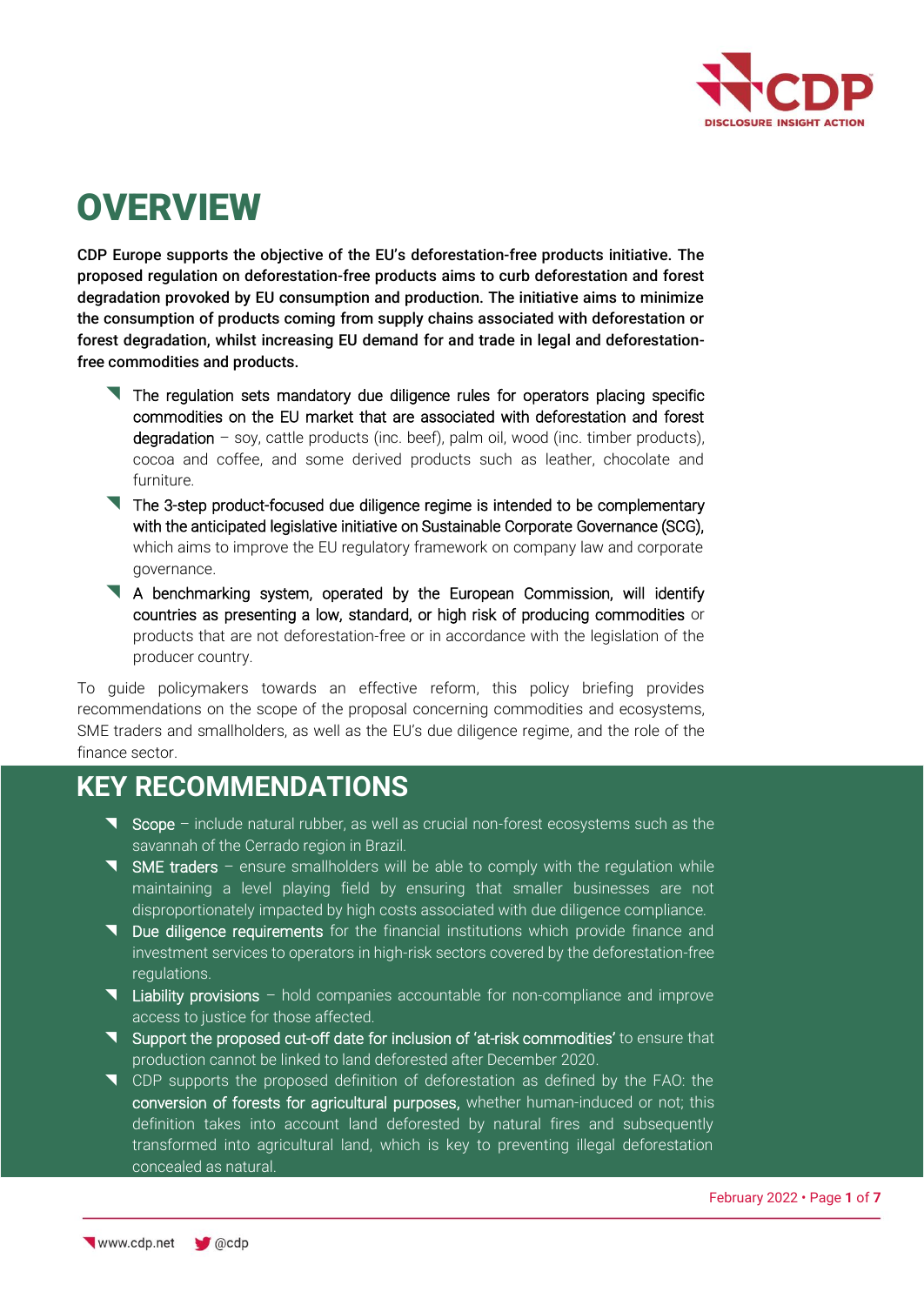

# **OVERVIEW**

CDP Europe supports the objective of the EU's deforestation-free products initiative. The proposed regulation on deforestation-free products aims to curb deforestation and forest degradation provoked by EU consumption and production. The initiative aims to minimize the consumption of products coming from supply chains associated with deforestation or forest degradation, whilst increasing EU demand for and trade in legal and deforestationfree commodities and products.

- The regulation sets mandatory due diligence rules for operators placing specific commodities on the EU market that are associated with deforestation and forest  $degradation - soy$ , cattle products (inc. beef), palm oil, wood (inc. timber products), cocoa and coffee, and some derived products such as leather, chocolate and furniture.
- The 3-step product-focused due diligence regime is intended to be complementary with the anticipated legislative initiative on Sustainable Corporate Governance (SCG), which aims to improve the EU regulatory framework on company law and corporate governance.
- A benchmarking system, operated by the European Commission, will identify countries as presenting a low, standard, or high risk of producing commodities or products that are not deforestation-free or in accordance with the legislation of the producer country.

To guide policymakers towards an effective reform, this policy briefing provides recommendations on the scope of the proposal concerning commodities and ecosystems, SME traders and smallholders, as well as the EU's due diligence regime, and the role of the finance sector.

### **KEY RECOMMENDATIONS**

- Scope include natural rubber, as well as crucial non-forest ecosystems such as the savannah of the Cerrado region in Brazil.
- $\blacksquare$  SME traders ensure smallholders will be able to comply with the regulation while maintaining a level playing field by ensuring that smaller businesses are not disproportionately impacted by high costs associated with due diligence compliance.
- **T** Due diligence requirements for the financial institutions which provide finance and investment services to operators in high-risk sectors covered by the deforestation-free regulations.
- Liability provisions hold companies accountable for non-compliance and improve access to justice for those affected.
- Support the proposed cut-off date for inclusion of 'at-risk commodities' to ensure that production cannot be linked to land deforested after December 2020.
- CDP supports the proposed definition of deforestation as defined by the FAO: the conversion of forests for agricultural purposes, whether human-induced or not; this definition takes into account land deforested by natural fires and subsequently transformed into agricultural land, which is key to preventing illegal deforestation concealed as natural.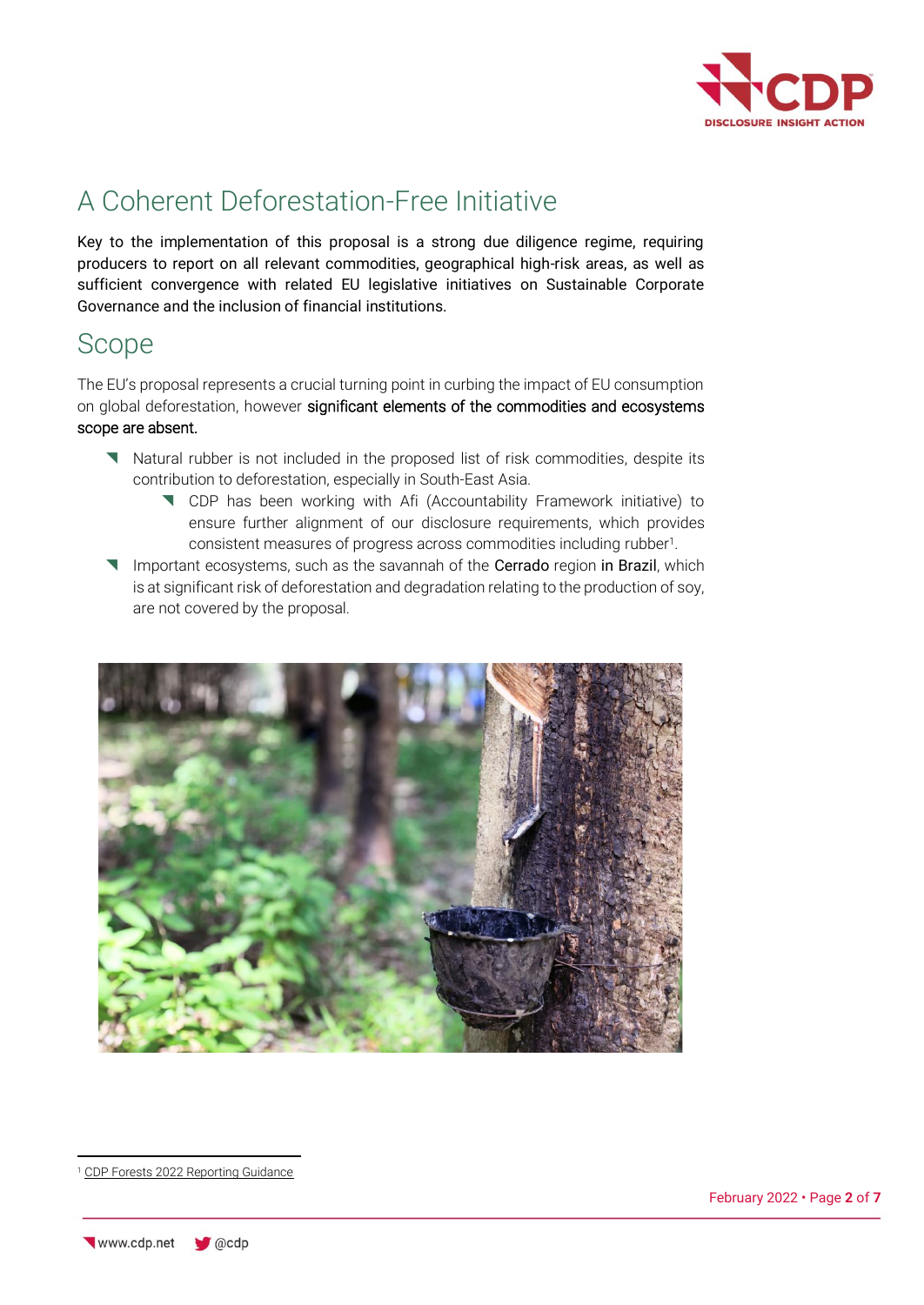

## A Coherent Deforestation-Free Initiative

Key to the implementation of this proposal is a strong due diligence regime, requiring producers to report on all relevant commodities, geographical high-risk areas, as well as sufficient convergence with related EU legislative initiatives on Sustainable Corporate Governance and the inclusion of financial institutions.

### Scope

The EU's proposal represents a crucial turning point in curbing the impact of EU consumption on global deforestation, however significant elements of the commodities and ecosystems scope are absent.

- Natural rubber is not included in the proposed list of risk commodities, despite its contribution to deforestation, especially in South-East Asia.
	- CDP has been working with Afi (Accountability Framework initiative) to ensure further alignment of our disclosure requirements, which provides consistent measures of progress across commodities including rubber<sup>1</sup> .
- Important ecosystems, such as the savannah of the Cerrado region in Brazil, which is at significant risk of deforestation and degradation relating to the production of soy, are not covered by the proposal.



<sup>1</sup> [CDP Forests 2022 Reporting Guidance](https://guidance.cdp.net/en/guidance?cid=31&ctype=theme&idtype=ThemeID&incchild=1µsite=0&otype=Guidance&tags=TAG-646%2CTAG-609%2CTAG-600)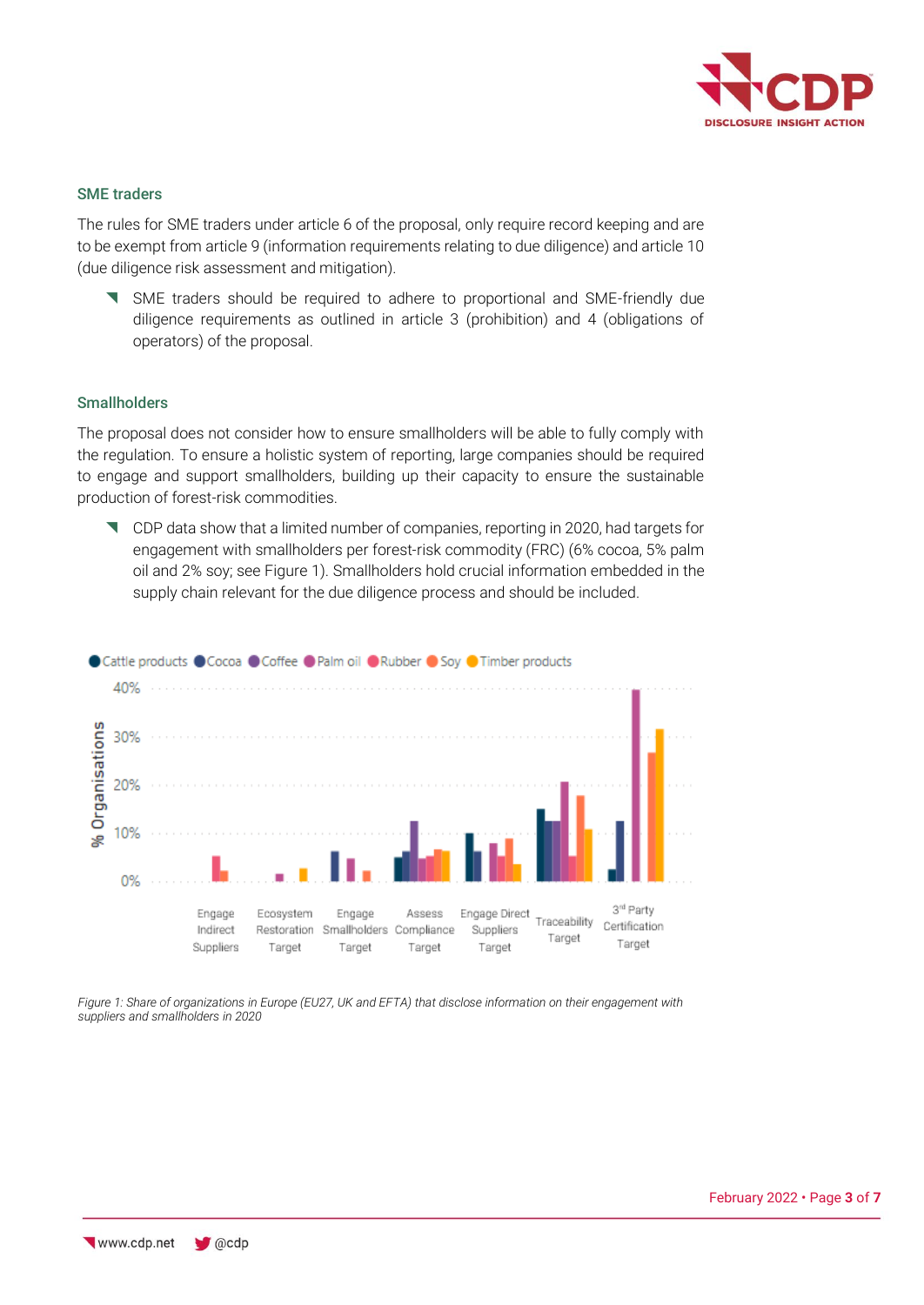

### SME traders

The rules for SME traders under article 6 of the proposal, only require record keeping and are to be exempt from article 9 (information requirements relating to due diligence) and article 10 (due diligence risk assessment and mitigation).

 SME traders should be required to adhere to proportional and SME-friendly due diligence requirements as outlined in article 3 (prohibition) and 4 (obligations of operators) of the proposal.

### **Smallholders**

The proposal does not consider how to ensure smallholders will be able to fully comply with the regulation. To ensure a holistic system of reporting, large companies should be required to engage and support smallholders, building up their capacity to ensure the sustainable production of forest-risk commodities.

 CDP data show that a limited number of companies, reporting in 2020, had targets for engagement with smallholders per forest-risk commodity (FRC) (6% cocoa, 5% palm oil and 2% soy; see Figure 1). Smallholders hold crucial information embedded in the supply chain relevant for the due diligence process and should be included.



*Figure 1: Share of organizations in Europe (EU27, UK and EFTA) that disclose information on their engagement with suppliers and smallholders in 2020*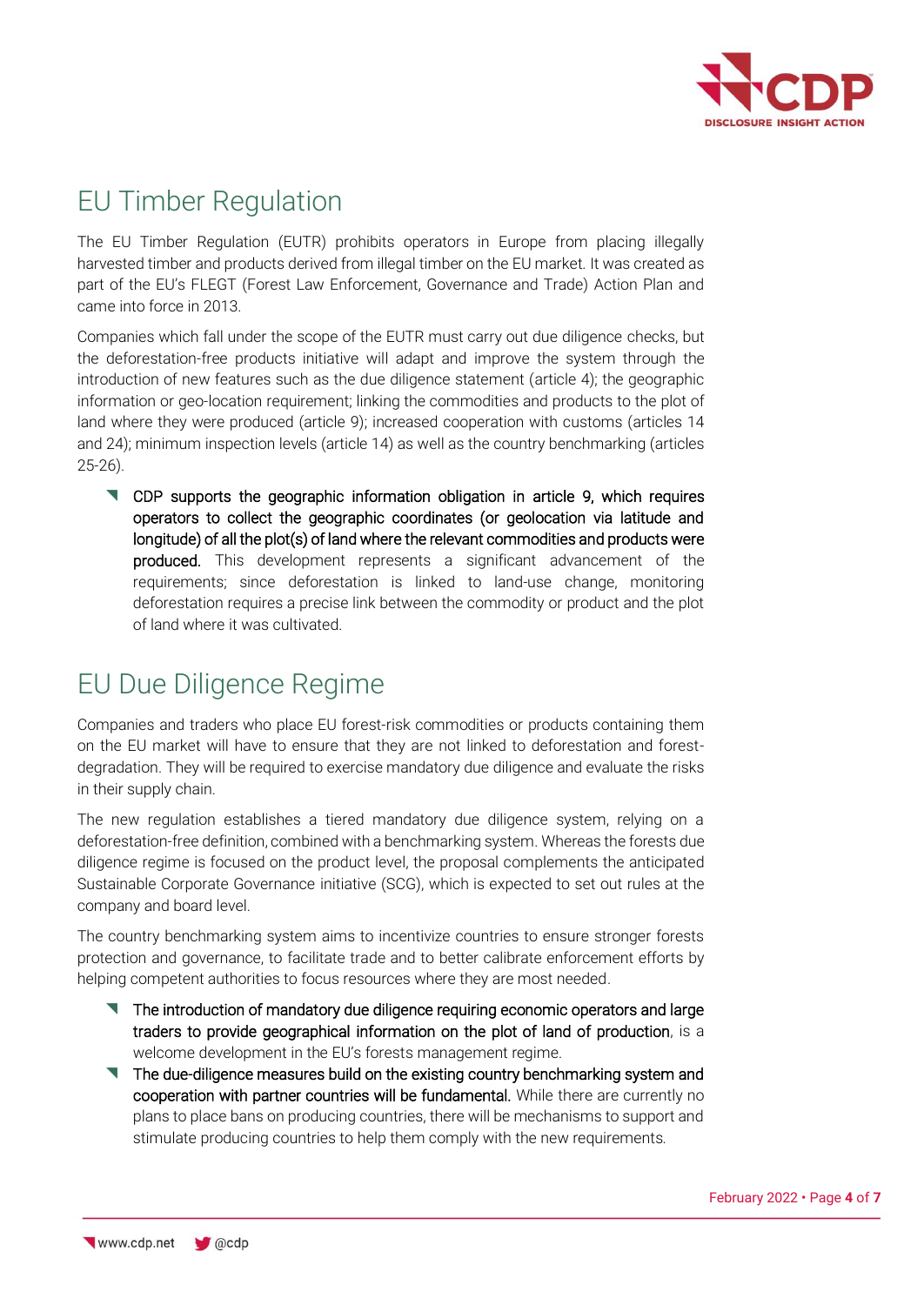

## EU Timber Regulation

The EU Timber Regulation (EUTR) prohibits operators in Europe from placing illegally harvested timber and products derived from illegal timber on the EU market. It was created as part of the EU's FLEGT (Forest Law Enforcement, Governance and Trade) Action Plan and came into force in 2013.

Companies which fall under the scope of the EUTR must carry out due diligence checks, but the deforestation-free products initiative will adapt and improve the system through the introduction of new features such as the due diligence statement (article 4); the geographic information or geo-location requirement; linking the commodities and products to the plot of land where they were produced (article 9); increased cooperation with customs (articles 14 and 24); minimum inspection levels (article 14) as well as the country benchmarking (articles 25-26).

 CDP supports the geographic information obligation in article 9, which requires operators to collect the geographic coordinates (or geolocation via latitude and longitude) of all the plot(s) of land where the relevant commodities and products were produced. This development represents a significant advancement of the requirements; since deforestation is linked to land-use change, monitoring deforestation requires a precise link between the commodity or product and the plot of land where it was cultivated.

## EU Due Diligence Regime

Companies and traders who place EU forest-risk commodities or products containing them on the EU market will have to ensure that they are not linked to deforestation and forestdegradation. They will be required to exercise mandatory due diligence and evaluate the risks in their supply chain.

The new regulation establishes a tiered mandatory due diligence system, relying on a deforestation-free definition, combined with a benchmarking system. Whereas the forests due diligence regime is focused on the product level, the proposal complements the anticipated Sustainable Corporate Governance initiative (SCG), which is expected to set out rules at the company and board level.

The country benchmarking system aims to incentivize countries to ensure stronger forests protection and governance, to facilitate trade and to better calibrate enforcement efforts by helping competent authorities to focus resources where they are most needed.

- The introduction of mandatory due diligence requiring economic operators and large traders to provide geographical information on the plot of land of production, is a welcome development in the EU's forests management regime.
- The due-diligence measures build on the existing country benchmarking system and cooperation with partner countries will be fundamental. While there are currently no plans to place bans on producing countries, there will be mechanisms to support and stimulate producing countries to help them comply with the new requirements.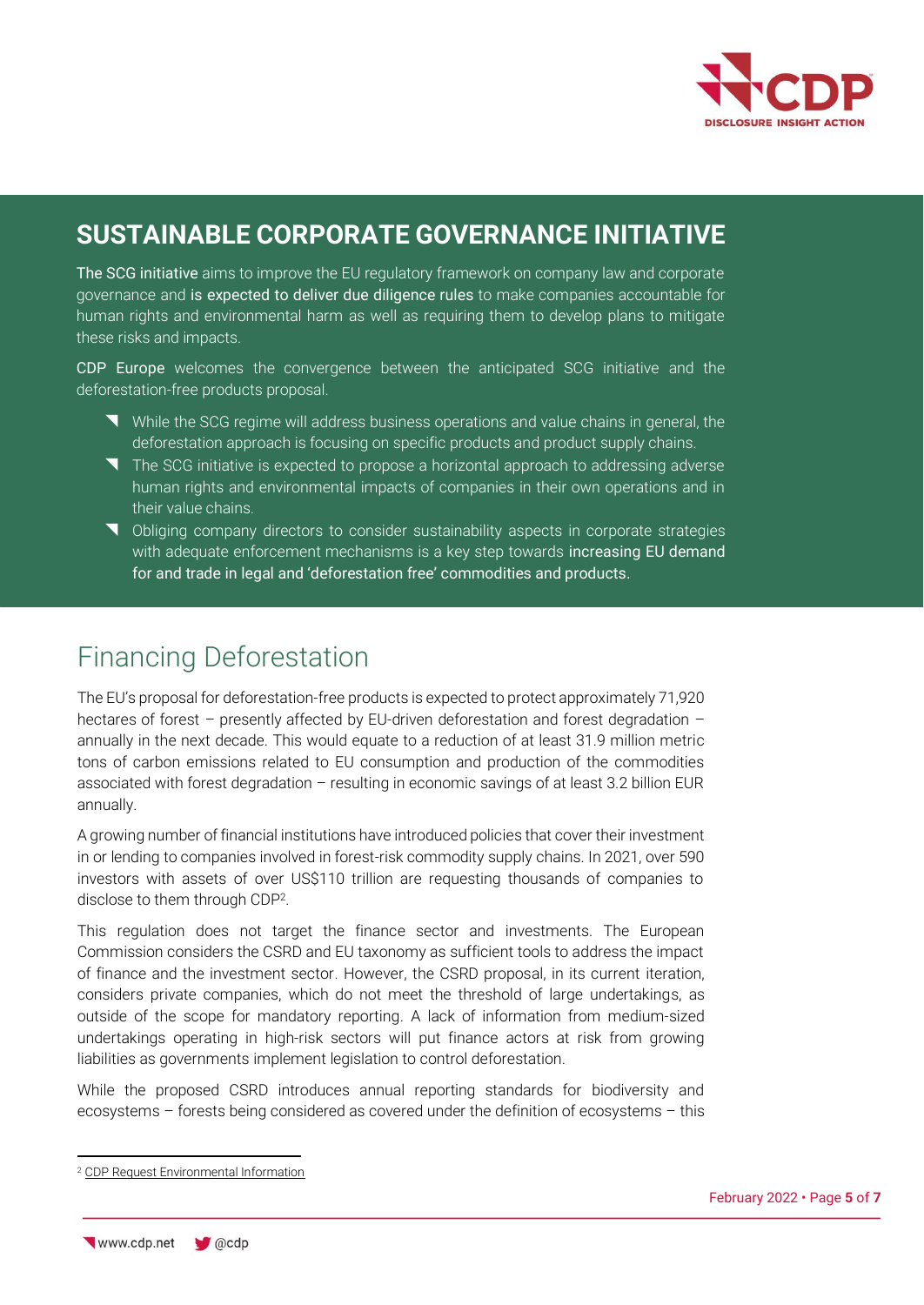

### **SUSTAINABLE CORPORATE GOVERNANCE INITIATIVE**

The SCG initiative aims to improve the EU regulatory framework on company law and corporate governance and is expected to deliver due diligence rules to make companies accountable for human rights and environmental harm as well as requiring them to develop plans to mitigate these risks and impacts.

CDP Europe welcomes the convergence between the anticipated SCG initiative and the deforestation-free products proposal.

- While the SCG regime will address business operations and value chains in general, the deforestation approach is focusing on specific products and product supply chains.
- The SCG initiative is expected to propose a horizontal approach to addressing adverse human rights and environmental impacts of companies in their own operations and in their value chains.
- Obliging company directors to consider sustainability aspects in corporate strategies with adequate enforcement mechanisms is a key step towards increasing EU demand for and trade in legal and 'deforestation free' commodities and products.

# Financing Deforestation

The EU's proposal for deforestation-free products is expected to protect approximately 71,920 hectares of forest – presently affected by EU-driven deforestation and forest degradation – annually in the next decade. This would equate to a reduction of at least 31.9 million metric tons of carbon emissions related to EU consumption and production of the commodities associated with forest degradation – resulting in economic savings of at least 3.2 billion EUR annually.

A growing number of financial institutions have introduced policies that cover their investment in or lending to companies involved in forest-risk commodity supply chains. In 2021, over 590 investors with assets of over US\$110 trillion are requesting thousands of companies to disclose to them through CDP<sup>2</sup> .

This regulation does not target the finance sector and investments. The European Commission considers the CSRD and EU taxonomy as sufficient tools to address the impact of finance and the investment sector. However, the CSRD proposal, in its current iteration, considers private companies, which do not meet the threshold of large undertakings, as outside of the scope for mandatory reporting. A lack of information from medium-sized undertakings operating in high-risk sectors will put finance actors at risk from growing liabilities as governments implement legislation to control deforestation.

While the proposed CSRD introduces annual reporting standards for biodiversity and ecosystems – forests being considered as covered under the definition of ecosystems – this

<sup>2</sup> [CDP Request Environmental Information](https://www.cdp.net/en/investor/request-environmental-information)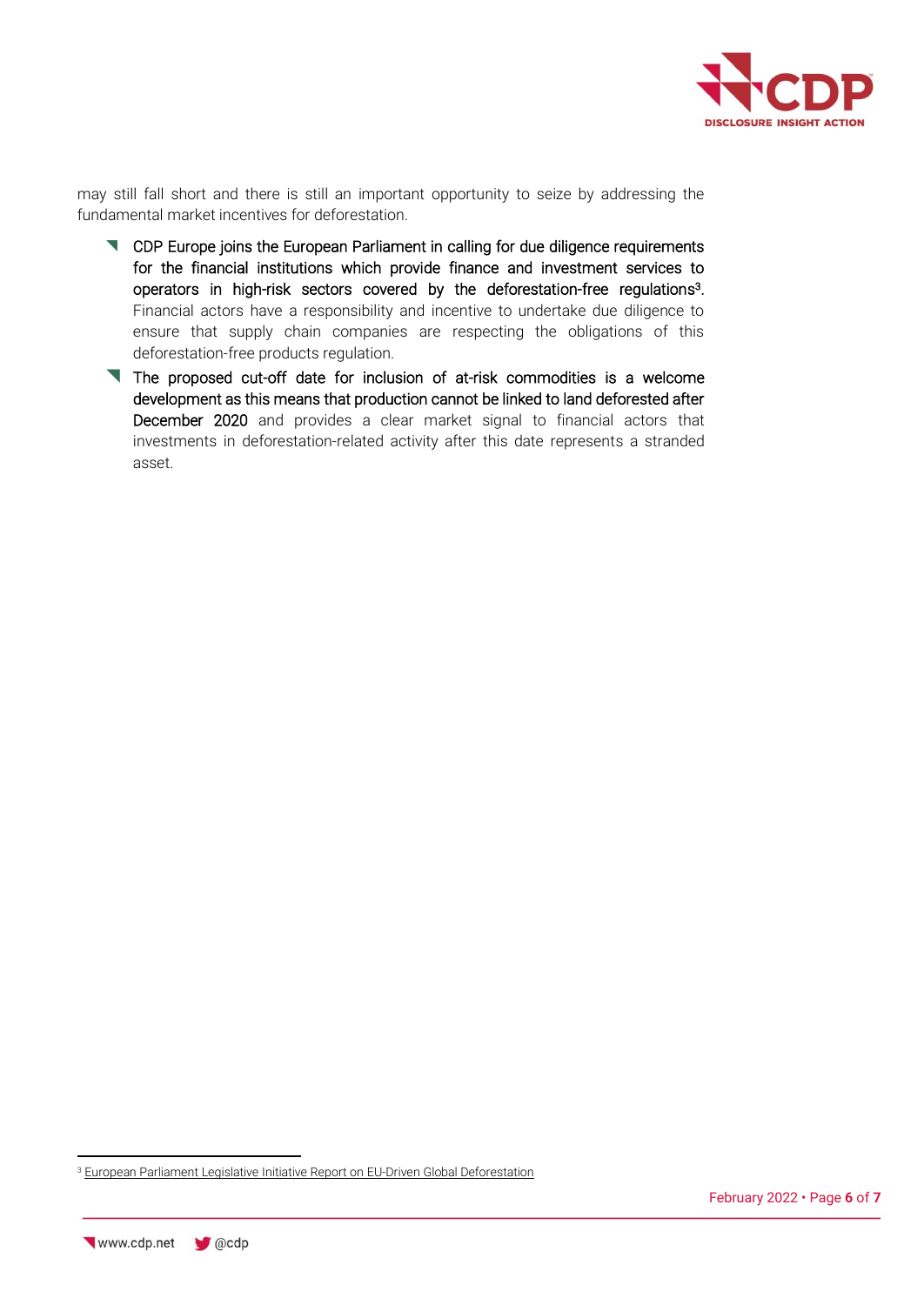

may still fall short and there is still an important opportunity to seize by addressing the fundamental market incentives for deforestation.

- CDP Europe joins the European Parliament in calling for due diligence requirements for the financial institutions which provide finance and investment services to operators in high-risk sectors covered by the deforestation-free regulations 3 . Financial actors have a responsibility and incentive to undertake due diligence to ensure that supply chain companies are respecting the obligations of this deforestation-free products regulation.
- The proposed cut-off date for inclusion of at-risk commodities is a welcome development as this means that production cannot be linked to land deforested after December 2020 and provides a clear market signal to financial actors that investments in deforestation-related activity after this date represents a stranded asset.

<sup>&</sup>lt;sup>3</sup> [European Parliament Legislative Initiative Report on EU-Driven Global Deforestation](https://www.europarl.europa.eu/doceo/document/TA-9-2020-0285_EN.html)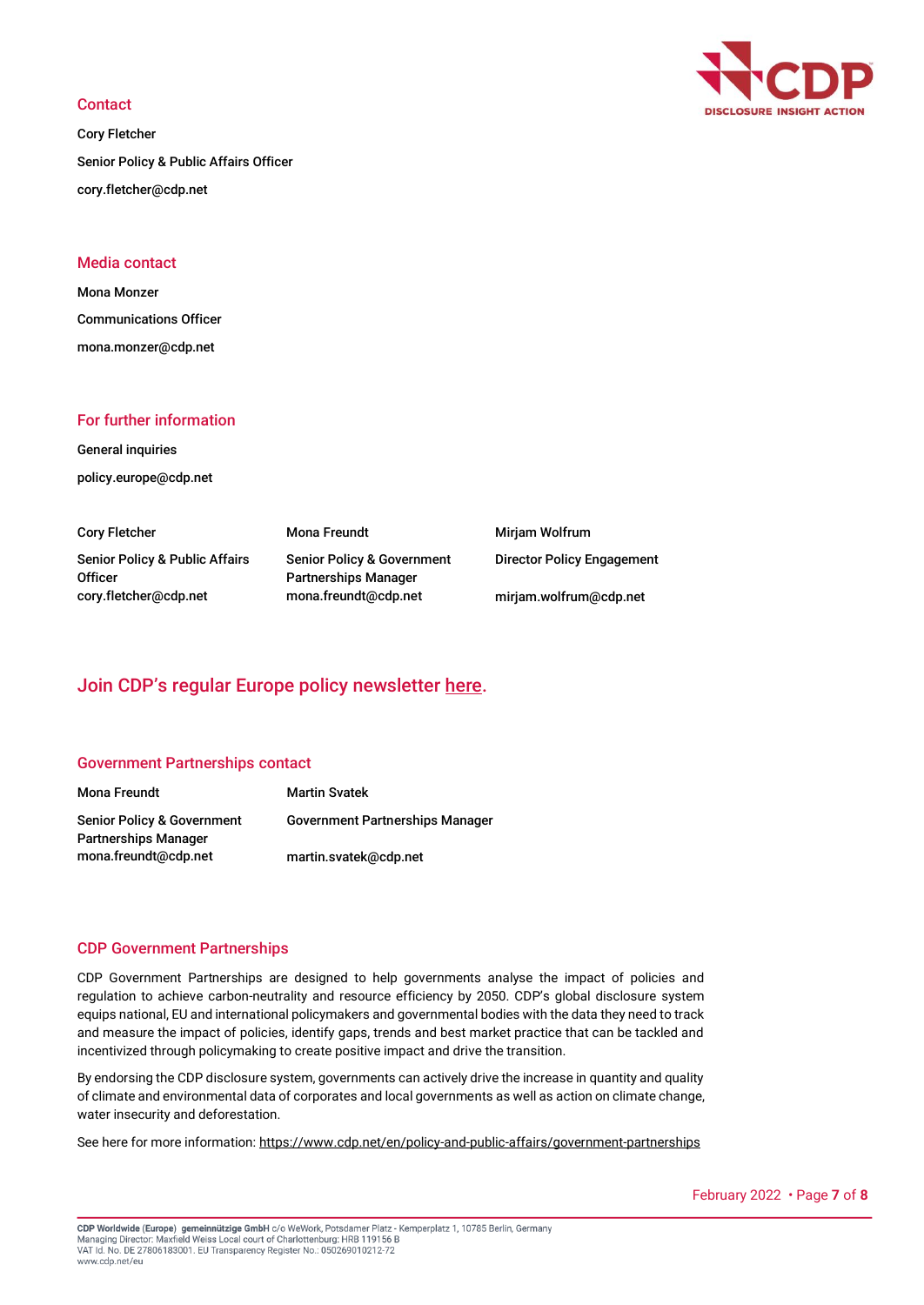#### **Contact**

Cory Fletcher Senior Policy & Public Affairs Officer cory.fletcher@cdp.net



### Media contact

Mona Monzer Communications Officer mona.monzer@cdp.net

### For further information

General inquiries policy.europe@cdp.net

Cory Fletcher Senior Policy & Public Affairs **Officer** cory.fletcher@cdp.net

Mona Freundt Senior Policy & Government Partnerships Manager mona.freundt@cdp.net

Mirjam Wolfrum Director Policy Engagement mirjam.wolfrum@cdp.net

### Join CDP's regular Europe policy newsletter [here.](https://confirmsubscription.com/h/y/6063D656AF22F5DF)

#### Government Partnerships contact

| Mona Freundt                                       | <b>Martin Svatek</b>                   |
|----------------------------------------------------|----------------------------------------|
| Senior Policy & Government<br>Partnerships Manager | <b>Government Partnerships Manager</b> |
| mona.freundt@cdp.net                               | martin.svatek@cdp.net                  |

### CDP Government Partnerships

CDP Government Partnerships are designed to help governments analyse the impact of policies and regulation to achieve carbon-neutrality and resource efficiency by 2050. CDP's global disclosure system equips national, EU and international policymakers and governmental bodies with the data they need to track and measure the impact of policies, identify gaps, trends and best market practice that can be tackled and incentivized through policymaking to create positive impact and drive the transition.

By endorsing the CDP disclosure system, governments can actively drive the increase in quantity and quality of climate and environmental data of corporates and local governments as well as action on climate change, water insecurity and deforestation.

See here for more information:<https://www.cdp.net/en/policy-and-public-affairs/government-partnerships>